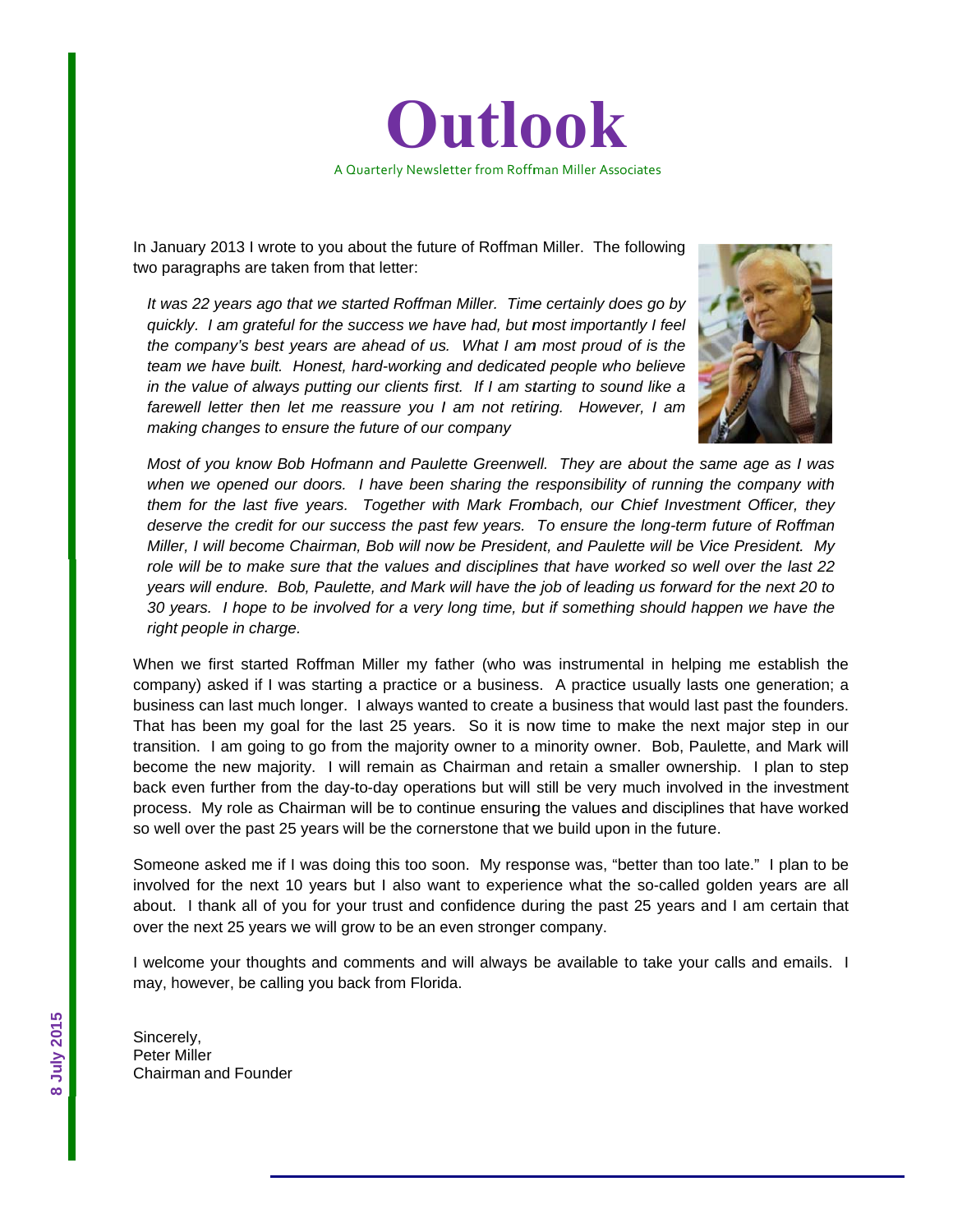

In January 2013 I wrote to you about the future of Roffman Miller. The following two paragraphs are taken from that letter:

It was 22 years ago that we started Roffman Miller. Time certainly does go by *quickly.* I am grateful for the success we have had, but most importantly I feel *the company's best years are ahead of us. What I am most proud of is the* team we have built. Honest, hard-working and dedicated people who believe *in the value of always putting our clients first. If I am starting to sound like a* farewell letter then let me reassure you I am not retiring. However, I am *maki ing changes t to ensure the future of our company*



*Most* of you know Bob Hofmann and Paulette Greenwell. They are about the same age as I was when we opened our doors. I have been sharing the responsibility of running the company with *them for the last five years. Together with Mark Frombach, our Chief Investment Officer, they deserve the credit for our success the past few years. To ensure the long-term future of Roffman Miller, I will become Chairman, Bob will now be President, and Paulette will be Vice President. My role will be to make sure that the values and disciplines that have worked so well over the last 22 years will endure. Bob, Paulette, and Mark will have the job of leading us forward for the next 20 to* 30 years. I hope to be involved for a very long time, but if something should happen we have the *right* people in charge.

When we first started Roffman Miller my father (who was instrumental in helping me establish the company) asked if I was starting a practice or a business. A practice usually lasts one generation; a business can last much longer. I always wanted to create a business that would last past the founders. That has been my goal for the last 25 years. So it is now time to make the next major step in our transition. I am going to go from the majority owner to a minority owner. Bob, Paulette, and Mark will become the new majority. I will remain as Chairman and retain a smaller ownership. I plan to step back even further from the day-to-day operations but will still be very much involved in the investment process. My role as Chairman will be to continue ensuring the values and disciplines that have worked so well over the past 25 years will be the cornerstone that we build upon in the future.

Someone asked me if I was doing this too soon. My response was, "better than too late." I plan to be involved for the next 10 years but I also want to experience what the so-called golden years are all about. I thank all of you for your trust and confidence during the past 25 years and I am certain that over the next 25 years we will grow to be an even stronger company.

I welcome your thoughts and comments and will always be available to take your calls and emails. I may, however, be calling you back from Florida.

Sincerely, Peter M Miller Chairman and Founder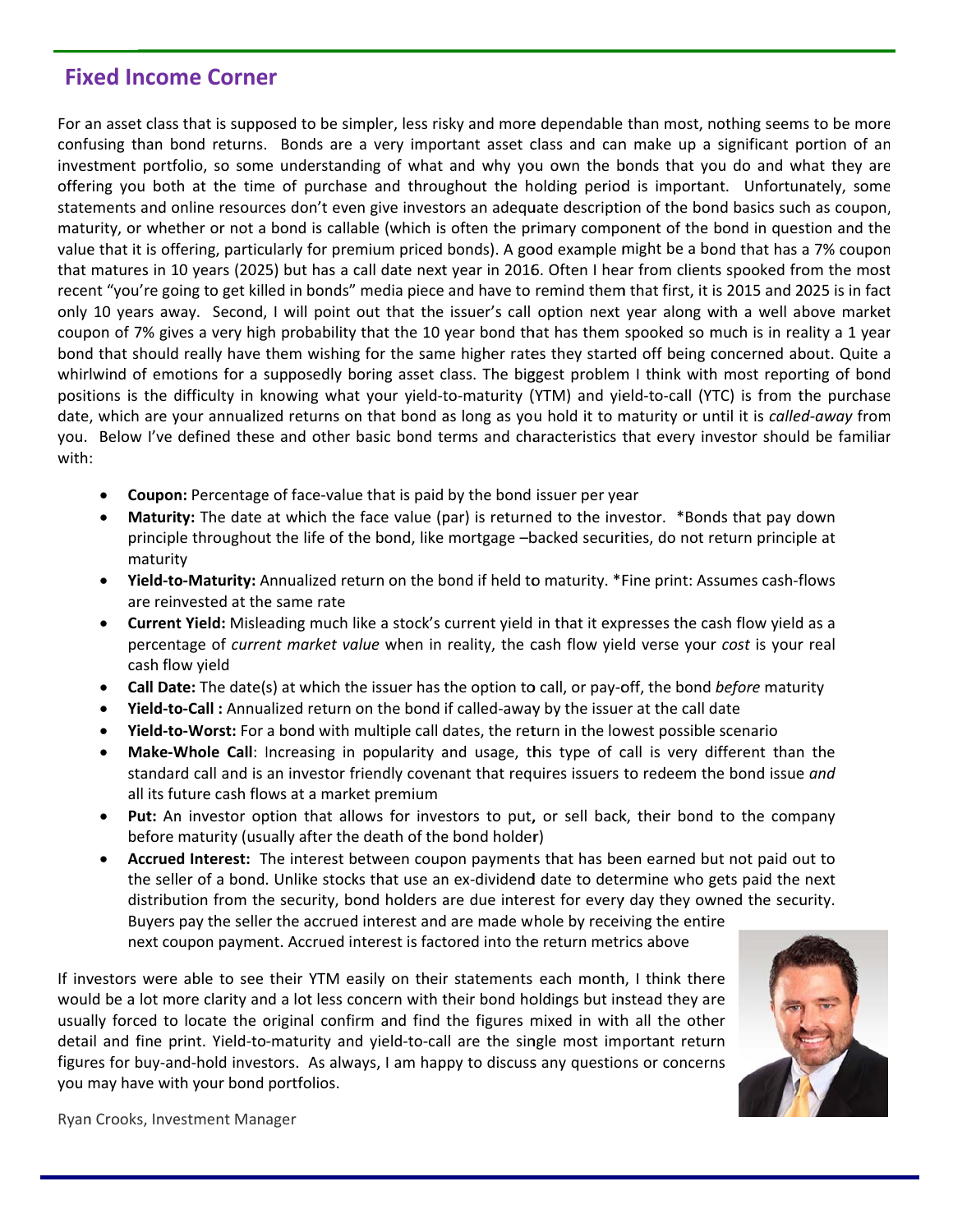#### **Fixed Income Corner**

For an asset class that is supposed to be simpler, less risky and more dependable than most, nothing seems to be more confusing than bond returns. Bonds are a very important asset class and can make up a significant portion of an investment portfolio, so some understanding of what and why you own the bonds that you do and what they are offering you both at the time of purchase and throughout the holding period is important. Unfortunately, some statements and online resources don't even give investors an adequate description of the bond basics such as coupon, maturity, or whether or not a bond is callable (which is often the primary component of the bond in question and the value that it is offering, particularly for premium priced bonds). A good example might be a bond that has a 7% coupon that matures in 10 years (2025) but has a call date next year in 2016. Often I hear from clients spooked from the most recent "you're going to get killed in bonds" media piece and have to remind them that first, it is 2015 and 2025 is in fact only 10 years away. Second, I will point out that the issuer's call option next year along with a well above market coupon of 7% gives a very high probability that the 10 year bond that has them spooked so much is in reality a 1 year bond that should really have them wishing for the same higher rates they started off being concerned about. Quite a whirlwind of emotions for a supposedly boring asset class. The biggest problem I think with most reporting of bond positions is the difficulty in knowing what your yield-to-maturity (YTM) and yield-to-call (YTC) is from the purchase date, which are your annualized returns on that bond as long as you hold it to maturity or until it is called-away from you. Below I've defined these and other basic bond terms and characteristics that every investor should be familiar with:

- **Coupon:** Percentage of face-value that is paid by the bond issuer per year
- **Maturity:** The date at which the face value (par) is returned to the investor. \*Bonds that pay down principle throughout the life of the bond, like mortgage -backed securities, do not return principle at maturity
- Yield-to-Maturity: Annualized return on the bond if held to maturity. \*Fine print: Assumes cash-flows are reinvested at the same rate
- Current Yield: Misleading much like a stock's current yield in that it expresses the cash flow yield as a percentage of *current market value* when in reality, the cash flow yield verse your *cost* is your real cash flow yield
- **Call Date:** The date(s) at which the issuer has the option to call, or pay-off, the bond before maturity
- Yield-to-Call : Annualized return on the bond if called-away by the issuer at the call date
- Yield-to-Worst: For a bond with multiple call dates, the return in the lowest possible scenario
- Make-Whole Call: Increasing in popularity and usage, this type of call is very different than the standard call and is an investor friendly covenant that requires issuers to redeem the bond issue and all its future cash flows at a market premium
- **Put:** An investor option that allows for investors to put, or sell back, their bond to the company before maturity (usually after the death of the bond holder)
- Accrued Interest: The interest between coupon payments that has been earned but not paid out to the seller of a bond. Unlike stocks that use an ex-dividend date to determine who gets paid the next distribution from the security, bond holders are due interest for every day they owned the security. Buyers pay the seller the accrued interest and are made whole by receiving the entire next coupon payment. Accrued interest is factored into the return metrics above

If investors were able to see their YTM easily on their statements each month, I think there would be a lot more clarity and a lot less concern with their bond holdings but instead they are usually forced to locate the original confirm and find the figures mixed in with all the other detail and fine print. Yield-to-maturity and yield-to-call are the single most important return figures for buy-and-hold investors. As always, I am happy to discuss any questions or concerns you may have with your bond portfolios.



Ryan Crooks, Investment Manager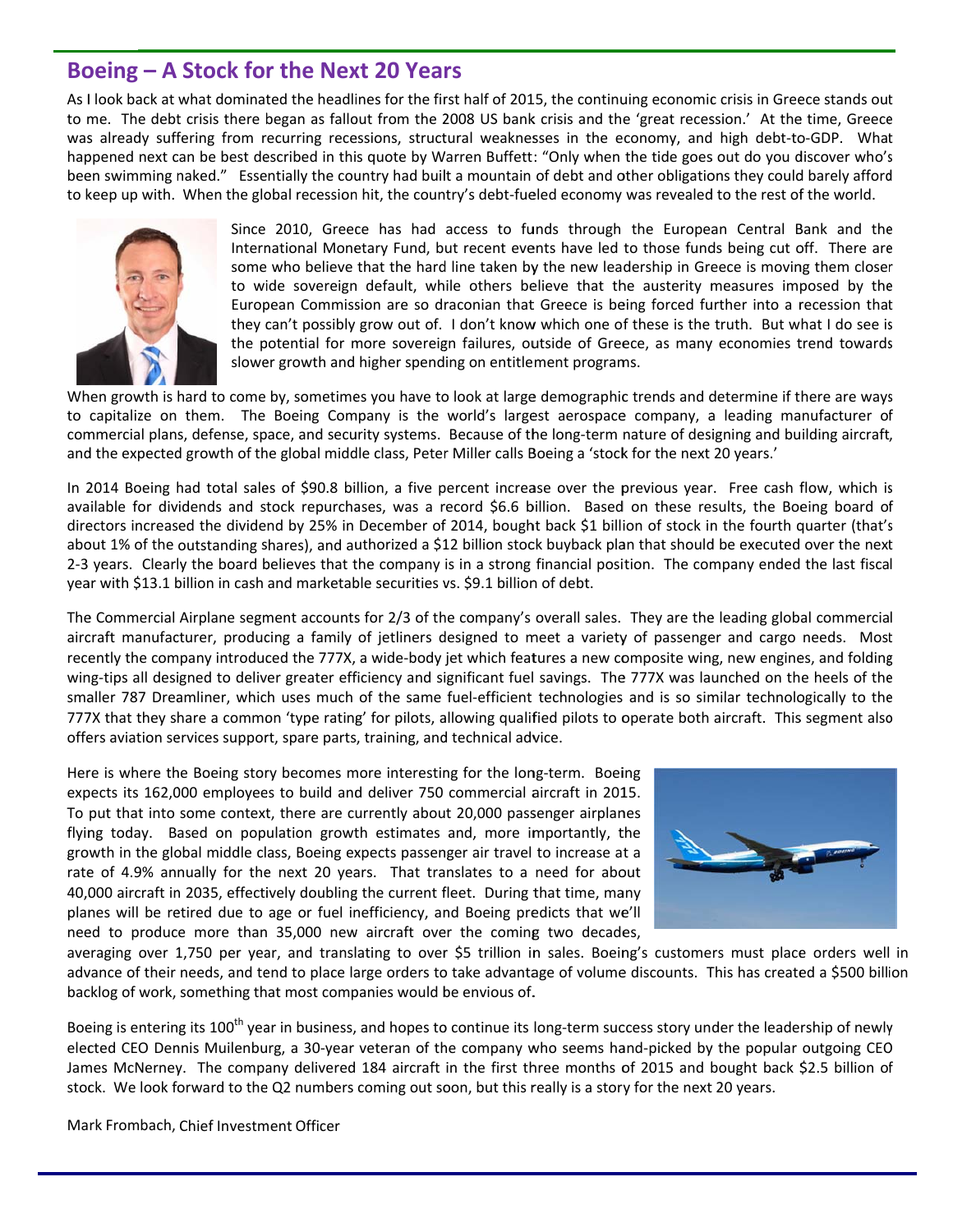# **Boeing - A Stock for the Next 20 Years**

As I look back at what dominated the headlines for the first half of 2015, the continuing economic crisis in Greece stands out to me. The debt crisis there began as fallout from the 2008 US bank crisis and the 'great recession.' At the time, Greece was already suffering from recurring recessions, structural weaknesses in the economy, and high debt-to-GDP. What happened next can be best described in this quote by Warren Buffett: "Only when the tide goes out do you discover who's been swimming naked." Essentially the country had built a mountain of debt and other obligations they could barely afford to keep up with. When the global recession hit, the country's debt-fueled economy was revealed to the rest of the world.



Since 2010, Greece has had access to funds through the European Central Bank and the International Monetary Fund, but recent events have led to those funds being cut off. There are some who believe that the hard line taken by the new leadership in Greece is moving them closer to wide sovereign default, while others believe that the austerity measures imposed by the European Commission are so draconian that Greece is being forced further into a recession that they can't possibly grow out of. I don't know which one of these is the truth. But what I do see is the potential for more sovereign failures, outside of Greece, as many economies trend towards slower growth and higher spending on entitlement programs.

When growth is hard to come by, sometimes you have to look at large demographic trends and determine if there are ways to capitalize on them. The Boeing Company is the world's largest aerospace company, a leading manufacturer of commercial plans, defense, space, and security systems. Because of the long-term nature of designing and building aircraft, and the expected growth of the global middle class, Peter Miller calls Boeing a 'stock for the next 20 years.'

In 2014 Boeing had total sales of \$90.8 billion, a five percent increase over the previous year. Free cash flow, which is available for dividends and stock repurchases, was a record \$6.6 billion. Based on these results, the Boeing board of directors increased the dividend by 25% in December of 2014, bought back \$1 billion of stock in the fourth quarter (that's about 1% of the outstanding shares), and authorized a \$12 billion stock buyback plan that should be executed over the next 2-3 years. Clearly the board believes that the company is in a strong financial position. The company ended the last fiscal year with \$13.1 billion in cash and marketable securities vs. \$9.1 billion of debt.

The Commercial Airplane segment accounts for 2/3 of the company's overall sales. They are the leading global commercial aircraft manufacturer, producing a family of jetliners designed to meet a variety of passenger and cargo needs. Most recently the company introduced the 777X, a wide-body jet which features a new composite wing, new engines, and folding wing-tips all designed to deliver greater efficiency and significant fuel savings. The 777X was launched on the heels of the smaller 787 Dreamliner, which uses much of the same fuel-efficient technologies and is so similar technologically to the 777X that they share a common 'type rating' for pilots, allowing qualified pilots to operate both aircraft. This segment also offers aviation services support, spare parts, training, and technical advice.

Here is where the Boeing story becomes more interesting for the long-term. Boeing expects its 162,000 employees to build and deliver 750 commercial aircraft in 2015. To put that into some context, there are currently about 20,000 passenger airplanes flying today. Based on population growth estimates and, more importantly, the growth in the global middle class, Boeing expects passenger air travel to increase at a rate of 4.9% annually for the next 20 years. That translates to a need for about 40,000 aircraft in 2035, effectively doubling the current fleet. During that time, many planes will be retired due to age or fuel inefficiency, and Boeing predicts that we'll need to produce more than 35,000 new aircraft over the coming two decades,



averaging over 1,750 per year, and translating to over \$5 trillion in sales. Boeing's customers must place orders well in advance of their needs, and tend to place large orders to take advantage of volume discounts. This has created a \$500 billion backlog of work, something that most companies would be envious of.

Boeing is entering its 100<sup>th</sup> year in business, and hopes to continue its long-term success story under the leadership of newly elected CEO Dennis Muilenburg, a 30-year veteran of the company who seems hand-picked by the popular outgoing CEO James McNerney. The company delivered 184 aircraft in the first three months of 2015 and bought back \$2.5 billion of stock. We look forward to the Q2 numbers coming out soon, but this really is a story for the next 20 years.

Mark Frombach, Chief Investment Officer